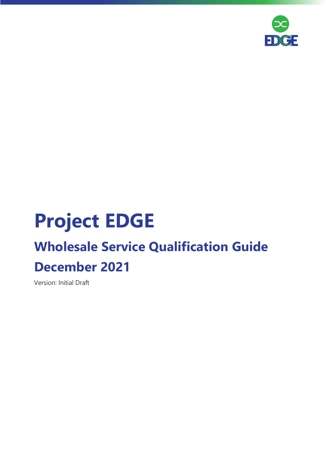

# **Project EDGE**

## **Wholesale Service Qualification Guide December 2021**

Version: Initial Draft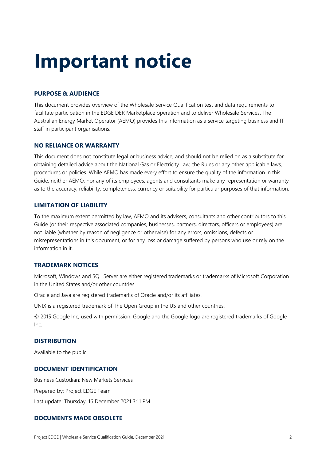# **Important notice**

#### **PURPOSE & AUDIENCE**

This document provides overview of the Wholesale Service Qualification test and data requirements to facilitate participation in the EDGE DER Marketplace operation and to deliver Wholesale Services. The Australian Energy Market Operator (AEMO) provides this information as a service targeting business and IT staff in participant organisations.

#### **NO RELIANCE OR WARRANTY**

This document does not constitute legal or business advice, and should not be relied on as a substitute for obtaining detailed advice about the National Gas or Electricity Law, the Rules or any other applicable laws, procedures or policies. While AEMO has made every effort to ensure the quality of the information in this Guide, neither AEMO, nor any of its employees, agents and consultants make any representation or warranty as to the accuracy, reliability, completeness, currency or suitability for particular purposes of that information.

#### **LIMITATION OF LIABILITY**

To the maximum extent permitted by law, AEMO and its advisers, consultants and other contributors to this Guide (or their respective associated companies, businesses, partners, directors, officers or employees) are not liable (whether by reason of negligence or otherwise) for any errors, omissions, defects or misrepresentations in this document, or for any loss or damage suffered by persons who use or rely on the information in it.

#### **TRADEMARK NOTICES**

Microsoft, Windows and SQL Server are either registered trademarks or trademarks of Microsoft Corporation in the United States and/or other countries.

Oracle and Java are registered trademarks of Oracle and/or its affiliates.

UNIX is a registered trademark of The Open Group in the US and other countries.

© 2015 Google Inc, used with permission. Google and the Google logo are registered trademarks of Google Inc.

#### **DISTRIBUTION**

Available to the public.

#### **DOCUMENT IDENTIFICATION**

Business Custodian: New Markets Services Prepared by: Project EDGE Team Last update: Thursday, 16 December 2021 3:11 PM

#### **DOCUMENTS MADE OBSOLETE**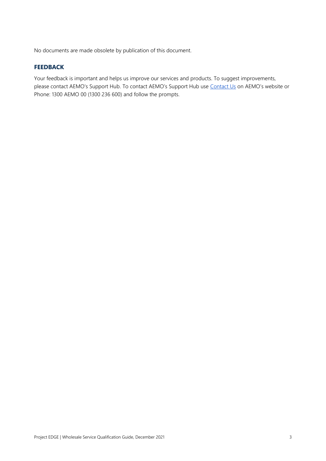No documents are made obsolete by publication of this document.

#### **FEEDBACK**

Your feedback is important and helps us improve our services and products. To suggest improvements, please contact AEMO's Support Hub. To contact AEMO's Support Hub use [Contact Us](http://aemo.com.au/Contact-us) on AEMO's website or Phone: 1300 AEMO 00 (1300 236 600) and follow the prompts.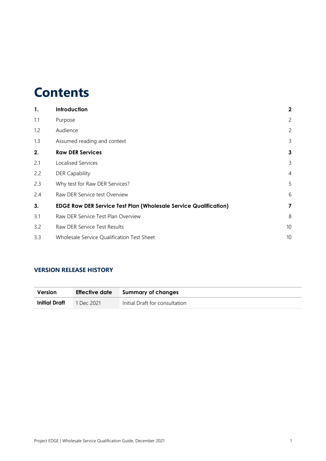## **Contents**

| 1.  | Introduction                                                            | $\boldsymbol{2}$ |
|-----|-------------------------------------------------------------------------|------------------|
| 1.1 | Purpose                                                                 | $\overline{2}$   |
| 1.2 | Audience                                                                | $\overline{2}$   |
| 1.3 | Assumed reading and context                                             | 3                |
| 2.  | <b>Raw DER Services</b>                                                 | $\mathbf{3}$     |
| 2.1 | Localised Services                                                      | $\mathsf{3}$     |
| 2.2 | <b>DER Capability</b>                                                   | 4                |
| 2.3 | Why test for Raw DER Services?                                          | 5                |
| 2.4 | Raw DER Service test Overview                                           | 6                |
| 3.  | <b>EDGE Raw DER Service Test Plan (Wholesale Service Qualification)</b> | 7                |
| 3.1 | Raw DER Service Test Plan Overview                                      | 8                |
| 3.2 | Raw DER Service Test Results                                            | 10               |
| 3.3 | Wholesale Service Qualification Test Sheet                              | 10               |

#### **VERSION RELEASE HISTORY**

| <b>Version</b> | Effective date | Summary of changes             |
|----------------|----------------|--------------------------------|
| Initial Draft  | $1$ Dec 2021   | Initial Draft for consultation |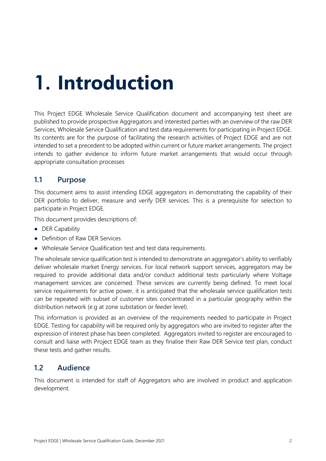# <span id="page-4-0"></span>**1. Introduction**

This Project EDGE Wholesale Service Qualification document and accompanying test sheet are published to provide prospective Aggregators and interested parties with an overview of the raw DER Services, Wholesale Service Qualification and test data requirements for participating in Project EDGE. Its contents are for the purpose of facilitating the research activities of Project EDGE and are not intended to set a precedent to be adopted within current or future market arrangements. The project intends to gather evidence to inform future market arrangements that would occur through appropriate consultation processes

### <span id="page-4-1"></span>**1.1 Purpose**

This document aims to assist intending EDGE aggregators in demonstrating the capability of their DER portfolio to deliver, measure and verify DER services. This is a prerequisite for selection to participate in Project EDGE.

This document provides descriptions of:

- DER Capability
- Definition of Raw DER Services
- Wholesale Service Qualification test and test data requirements.

The wholesale service qualification test is intended to demonstrate an aggregator's ability to verifiably deliver wholesale market Energy services. For local network support services, aggregators may be required to provide additional data and/or conduct additional tests particularly where Voltage management services are concerned. These services are currently being defined. To meet local service requirements for active power, it is anticipated that the wholesale service qualification tests can be repeated with subset of customer sites concentrated in a particular geography within the distribution network (e.g at zone substation or feeder level).

This information is provided as an overview of the requirements needed to participate in Project EDGE. Testing for capability will be required only by aggregators who are invited to register after the expression of interest phase has been completed. Aggregators invited to register are encouraged to consult and liaise with Project EDGE team as they finalise their Raw DER Service test plan, conduct these tests and gather results.

## <span id="page-4-2"></span>**1.2 Audience**

This document is intended for staff of Aggregators who are involved in product and application development.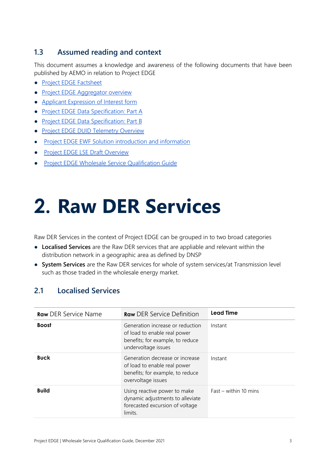## <span id="page-5-0"></span>**1.3 Assumed reading and context**

This document assumes a knowledge and awareness of the following documents that have been published by AEMO in relation to Project EDGE

- [Project EDGE Factsheet](https://aemo.com.au/-/media/files/initiatives/der/2021/edge-factsheet.pdf?la=en)
- [Project EDGE Aggregator overview](https://aemo.com.au/-/media/files/initiatives/der/2021/edge-aggregator-overview.pdf)
- [Applicant Expression of Interest form](https://aemo.com.au/-/media/files/initiatives/der/2021/edge-expression-of-interest-form.pdf)
- [Project EDGE Data Specification: Part A](https://aemo.com.au/-/media/files/initiatives/der/2021/edge-data-specs-part-a.pdf)
- [Project EDGE Data Specification: Part B](https://aemo.com.au/-/media/files/initiatives/der/2021/edge-data-specs-part-b.pdf)
- [Project EDGE DUID Telemetry Overview](https://aemo.com.au/-/media/files/initiatives/der/2021/edge-duid-telemetry-overview.pdf)
- **[Project EDGE EWF Solution introduction and information](https://aemo.com.au/-/media/files/initiatives/der/2021/edge-ew-solution-intro-and-info.pdf)**
- [Project EDGE LSE Draft Overview](https://aemo.com.au/-/media/files/initiatives/der/2021/edge-local-service-exchange-draft-overview.pdf)
- [Project EDGE Wholesale Service Qualification Guide](https://aemo.com.au/-/media/files/initiatives/der/2021/edge-wholesale-service-qualification-guide.pdf)

# <span id="page-5-1"></span>**2. Raw DER Services**

Raw DER Services in the context of Project EDGE can be grouped in to two broad categories

- **Localised Services** are the Raw DER services that are appliable and relevant within the distribution network in a geographic area as defined by DNSP
- **System Services** are the Raw DER services for whole of system services/at Transmission level such as those traded in the wholesale energy market.

## <span id="page-5-2"></span>**2.1 Localised Services**

| <b>Raw</b> DER Service Name | <b>Raw</b> DER Service Definition                                                                                           | Lead Time               |
|-----------------------------|-----------------------------------------------------------------------------------------------------------------------------|-------------------------|
| <b>Boost</b>                | Generation increase or reduction<br>of load to enable real power<br>benefits; for example, to reduce<br>undervoltage issues | Instant                 |
| <b>Buck</b>                 | Generation decrease or increase<br>of load to enable real power<br>benefits; for example, to reduce<br>overvoltage issues   | Instant                 |
| <b>Build</b>                | Using reactive power to make<br>dynamic adjustments to alleviate<br>forecasted excursion of voltage<br>limits.              | $Fast - within 10 mins$ |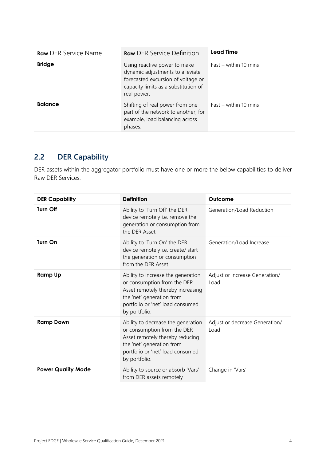| <b>Raw DER Service Name</b> | <b>Raw</b> DER Service Definition                                                                                                                             | Lead Time             |
|-----------------------------|---------------------------------------------------------------------------------------------------------------------------------------------------------------|-----------------------|
| <b>Bridge</b>               | Using reactive power to make<br>dynamic adjustments to alleviate<br>forecasted excursion of voltage or<br>capacity limits as a substitution of<br>real power. | Fast – within 10 mins |
| <b>Balance</b>              | Shifting of real power from one<br>part of the network to another; for<br>example, load balancing across<br>phases.                                           | Fast – within 10 mins |

## <span id="page-6-0"></span>**2.2 DER Capability**

DER assets within the aggregator portfolio must have one or more the below capabilities to deliver Raw DER Services.

| <b>DER Capability</b>     | <b>Definition</b>                                                                                                                                                                        | Outcome                                |
|---------------------------|------------------------------------------------------------------------------------------------------------------------------------------------------------------------------------------|----------------------------------------|
| <b>Turn Off</b>           | Ability to 'Turn Off' the DER<br>device remotely i.e. remove the<br>generation or consumption from<br>the DER Asset                                                                      | Generation/Load Reduction              |
| <b>Turn On</b>            | Ability to 'Turn On' the DER<br>device remotely i.e. create/ start<br>the generation or consumption<br>from the DER Asset                                                                | Generation/Load Increase               |
| <b>Ramp Up</b>            | Ability to increase the generation<br>or consumption from the DER<br>Asset remotely thereby increasing<br>the 'net' generation from<br>portfolio or 'net' load consumed<br>by portfolio. | Adjust or increase Generation/<br>Load |
| <b>Ramp Down</b>          | Ability to decrease the generation<br>or consumption from the DER<br>Asset remotely thereby reducing<br>the 'net' generation from<br>portfolio or 'net' load consumed<br>by portfolio.   | Adjust or decrease Generation/<br>Load |
| <b>Power Quality Mode</b> | Ability to source or absorb 'Vars'<br>from DER assets remotely                                                                                                                           | Change in 'Vars'                       |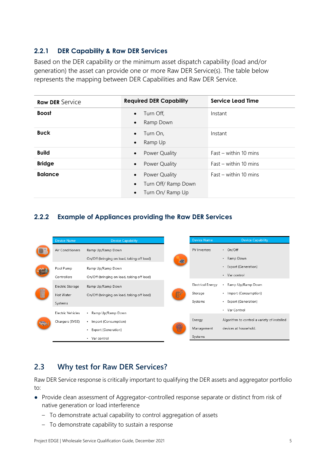### **2.2.1 DER Capability & Raw DER Services**

Based on the DER capability or the minimum asset dispatch capability (load and/or generation) the asset can provide one or more Raw DER Service(s). The table below represents the mapping between DER Capabilities and Raw DER Service.

| <b>Raw DER Service</b> | <b>Required DER Capability</b>                                                                  | Service Lead Time       |
|------------------------|-------------------------------------------------------------------------------------------------|-------------------------|
| <b>Boost</b>           | Turn Off,<br>$\bullet$<br>Ramp Down<br>$\bullet$                                                | Instant                 |
| <b>Buck</b>            | Turn On,<br>$\bullet$<br>Ramp Up<br>$\bullet$                                                   | Instant                 |
| <b>Build</b>           | Power Quality<br>$\bullet$                                                                      | $Fast - within 10 mins$ |
| <b>Bridge</b>          | Power Quality<br>$\bullet$                                                                      | $Fast - within 10 mins$ |
| <b>Balance</b>         | Power Quality<br>$\bullet$<br>Turn Off/ Ramp Down<br>$\bullet$<br>Turn On/ Ramp Up<br>$\bullet$ | $Fast - within 10 mins$ |

### **2.2.2 Example of Appliances providing the Raw DER Services**



## <span id="page-7-0"></span>**2.3 Why test for Raw DER Services?**

Raw DER Service response is critically important to qualifying the DER assets and aggregator portfolio to:

- Provide clean assessment of Aggregator-controlled response separate or distinct from risk of native generation or load interference
	- To demonstrate actual capability to control aggregation of assets
	- To demonstrate capability to sustain a response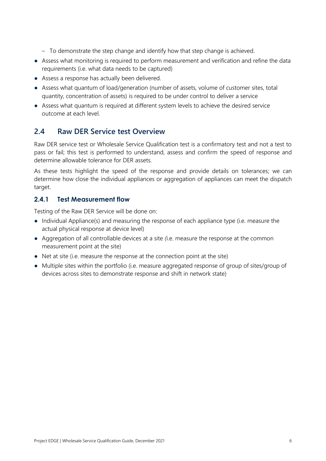- To demonstrate the step change and identify how that step change is achieved.
- Assess what monitoring is required to perform measurement and verification and refine the data requirements (i.e. what data needs to be captured)
- Assess a response has actually been delivered.
- Assess what quantum of load/generation (number of assets, volume of customer sites, total quantity, concentration of assets) is required to be under control to deliver a service
- Assess what quantum is required at different system levels to achieve the desired service outcome at each level.

### <span id="page-8-0"></span>**2.4 Raw DER Service test Overview**

Raw DER service test or Wholesale Service Qualification test is a confirmatory test and not a test to pass or fail; this test is performed to understand, assess and confirm the speed of response and determine allowable tolerance for DER assets.

As these tests highlight the speed of the response and provide details on tolerances; we can determine how close the individual appliances or aggregation of appliances can meet the dispatch target.

#### **2.4.1 Test Measurement flow**

Testing of the Raw DER Service will be done on:

- Individual Appliance(s) and measuring the response of each appliance type (i.e. measure the actual physical response at device level)
- Aggregation of all controllable devices at a site *(*i.e. measure the response at the common measurement point at the site)
- Net at site (i.e. measure the response at the connection point at the site)
- Multiple sites within the portfolio (i.e. measure aggregated response of group of sites/group of devices across sites to demonstrate response and shift in network state)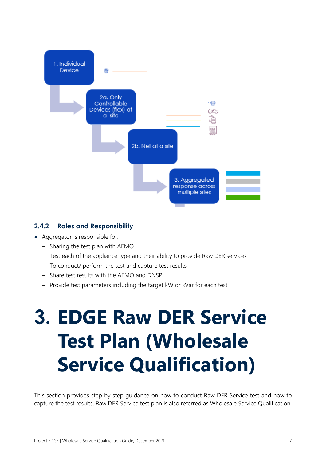

#### **2.4.2 Roles and Responsibility**

- Aggregator is responsible for:
	- Sharing the test plan with AEMO
	- Test each of the appliance type and their ability to provide Raw DER services
	- To conduct/ perform the test and capture test results
	- Share test results with the AEMO and DNSP
	- Provide test parameters including the target kW or kVar for each test

# <span id="page-9-0"></span>**3. EDGE Raw DER Service Test Plan (Wholesale Service Qualification)**

This section provides step by step guidance on how to conduct Raw DER Service test and how to capture the test results. Raw DER Service test plan is also referred as Wholesale Service Qualification.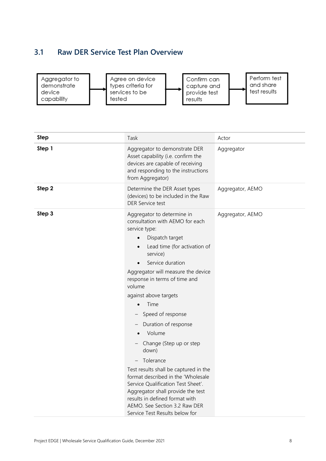## <span id="page-10-0"></span>**3.1 Raw DER Service Test Plan Overview**



| <b>Step</b> | Task                                                                                                                                                                                                                                                                                                                                                                                                                                                                                                                                                                                                                                                                                 | Actor            |
|-------------|--------------------------------------------------------------------------------------------------------------------------------------------------------------------------------------------------------------------------------------------------------------------------------------------------------------------------------------------------------------------------------------------------------------------------------------------------------------------------------------------------------------------------------------------------------------------------------------------------------------------------------------------------------------------------------------|------------------|
| Step 1      | Aggregator to demonstrate DER<br>Asset capability (i.e. confirm the<br>devices are capable of receiving<br>and responding to the instructions<br>from Aggregator)                                                                                                                                                                                                                                                                                                                                                                                                                                                                                                                    | Aggregator       |
| Step 2      | Determine the DER Asset types<br>(devices) to be included in the Raw<br><b>DER Service test</b>                                                                                                                                                                                                                                                                                                                                                                                                                                                                                                                                                                                      | Aggregator, AEMO |
| Step 3      | Aggregator to determine in<br>consultation with AEMO for each<br>service type:<br>Dispatch target<br>$\bullet$<br>Lead time (for activation of<br>$\bullet$<br>service)<br>Service duration<br>Aggregator will measure the device<br>response in terms of time and<br>volume<br>against above targets<br>Time<br>Speed of response<br>Duration of response<br>Volume<br>Change (Step up or step<br>down)<br>Tolerance<br>Test results shall be captured in the<br>format described in the 'Wholesale<br>Service Qualification Test Sheet'.<br>Aggregator shall provide the test<br>results in defined format with<br>AEMO. See Section 3.2 Raw DER<br>Service Test Results below for | Aggregator, AEMO |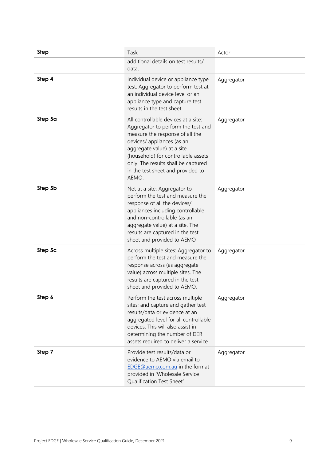| <b>Step</b> | Task                                                                                                                                                                                                                                                                                                 | Actor      |
|-------------|------------------------------------------------------------------------------------------------------------------------------------------------------------------------------------------------------------------------------------------------------------------------------------------------------|------------|
|             | additional details on test results/<br>data.                                                                                                                                                                                                                                                         |            |
| Step 4      | Individual device or appliance type<br>test: Aggregator to perform test at<br>an individual device level or an<br>appliance type and capture test<br>results in the test sheet.                                                                                                                      | Aggregator |
| Step 5a     | All controllable devices at a site:<br>Aggregator to perform the test and<br>measure the response of all the<br>devices/ appliances (as an<br>aggregate value) at a site<br>(household) for controllable assets<br>only. The results shall be captured<br>in the test sheet and provided to<br>AEMO. | Aggregator |
| Step 5b     | Net at a site: Aggregator to<br>perform the test and measure the<br>response of all the devices/<br>appliances including controllable<br>and non-controllable (as an<br>aggregate value) at a site. The<br>results are captured in the test<br>sheet and provided to AEMO                            | Aggregator |
| Step 5c     | Across multiple sites: Aggregator to<br>perform the test and measure the<br>response across (as aggregate<br>value) across multiple sites. The<br>results are captured in the test<br>sheet and provided to AEMO.                                                                                    | Aggregator |
| Step 6      | Perform the test across multiple<br>sites; and capture and gather test<br>results/data or evidence at an<br>aggregated level for all controllable<br>devices. This will also assist in<br>determining the number of DER<br>assets required to deliver a service                                      | Aggregator |
| Step 7      | Provide test results/data or<br>evidence to AEMO via email to<br>EDGE@aemo.com.au in the format<br>provided in 'Wholesale Service<br>Qualification Test Sheet'                                                                                                                                       | Aggregator |